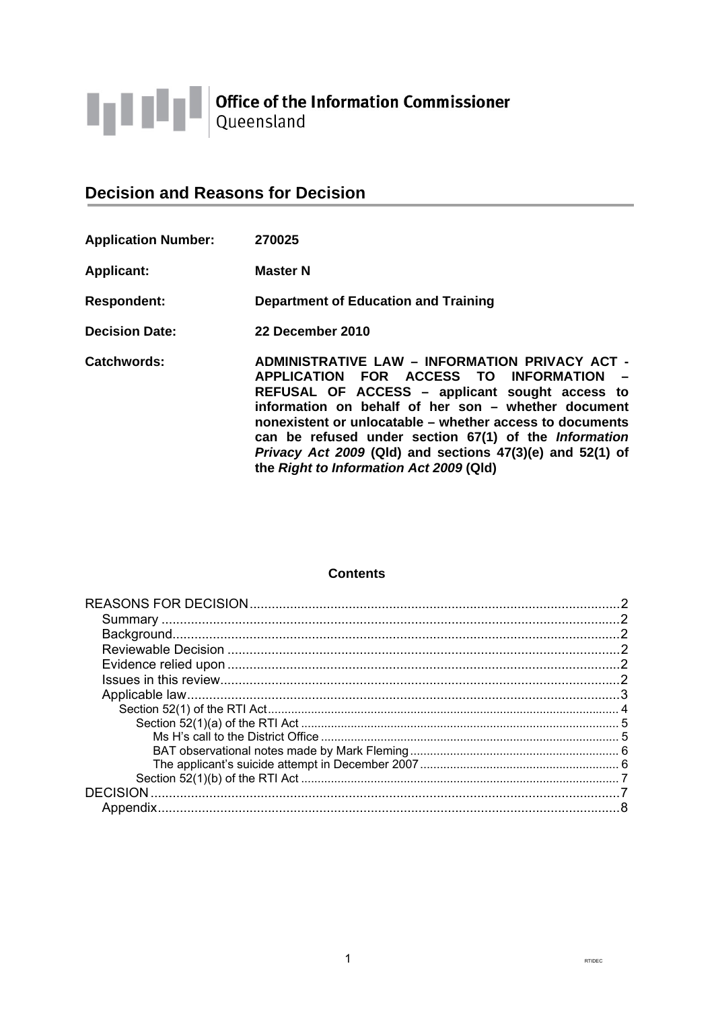

# **Decision and Reasons for Decision**

| <b>Application Number:</b> | 270025                                                                                                                                                                                                                                                                                                                                                                                                                               |
|----------------------------|--------------------------------------------------------------------------------------------------------------------------------------------------------------------------------------------------------------------------------------------------------------------------------------------------------------------------------------------------------------------------------------------------------------------------------------|
| <b>Applicant:</b>          | <b>Master N</b>                                                                                                                                                                                                                                                                                                                                                                                                                      |
| <b>Respondent:</b>         | Department of Education and Training                                                                                                                                                                                                                                                                                                                                                                                                 |
| <b>Decision Date:</b>      | 22 December 2010                                                                                                                                                                                                                                                                                                                                                                                                                     |
| <b>Catchwords:</b>         | <b>ADMINISTRATIVE LAW - INFORMATION PRIVACY ACT -</b><br>APPLICATION FOR ACCESS TO INFORMATION<br>REFUSAL OF ACCESS - applicant sought access to<br>information on behalf of her son - whether document<br>nonexistent or unlocatable – whether access to documents<br>can be refused under section 67(1) of the Information<br>Privacy Act 2009 (Qld) and sections 47(3)(e) and 52(1) of<br>the Right to Information Act 2009 (Qld) |

# **Contents**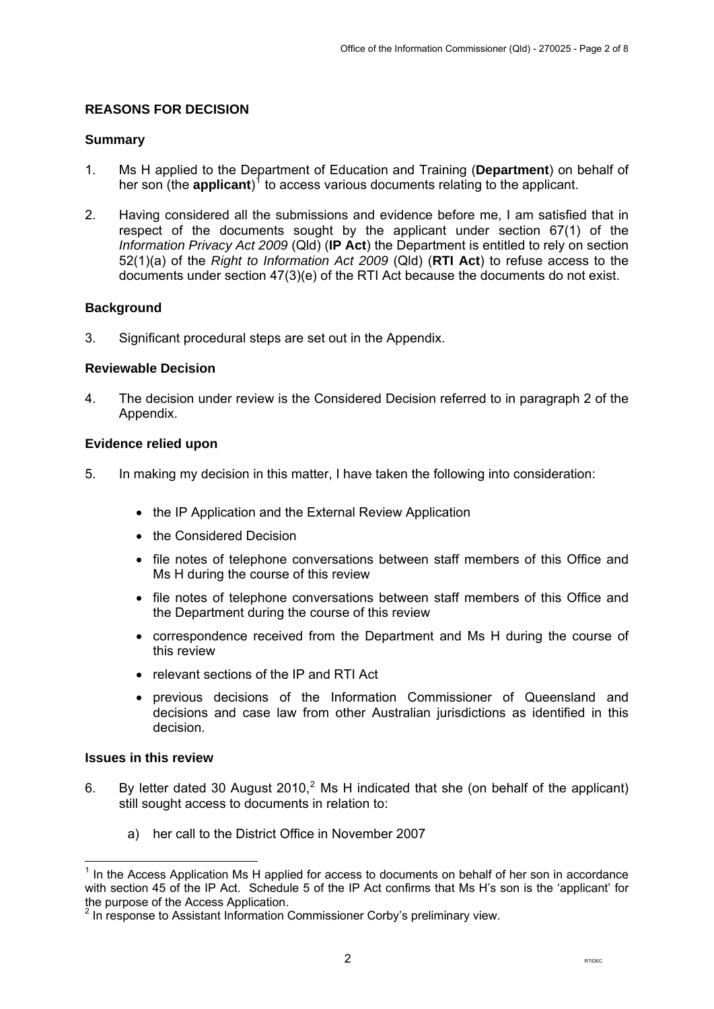# <span id="page-1-0"></span>**REASONS FOR DECISION**

#### **Summary**

- 1. Ms H applied to the Department of Education and Training (**Department**) on behalf of her son (the **applicant**)<sup>[1](#page-1-1)</sup> to access various documents relating to the applicant.
- 2. Having considered all the submissions and evidence before me, I am satisfied that in respect of the documents sought by the applicant under section 67(1) of the *Information Privacy Act 2009* (Qld) (**IP Act**) the Department is entitled to rely on section 52(1)(a) of the *Right to Information Act 2009* (Qld) (**RTI Act**) to refuse access to the documents under section 47(3)(e) of the RTI Act because the documents do not exist.

## **Background**

3. Significant procedural steps are set out in the Appendix.

## **Reviewable Decision**

4. The decision under review is the Considered Decision referred to in paragraph 2 of the Appendix.

## **Evidence relied upon**

- 5. In making my decision in this matter, I have taken the following into consideration:
	- the IP Application and the External Review Application
	- the Considered Decision
	- file notes of telephone conversations between staff members of this Office and Ms H during the course of this review
	- file notes of telephone conversations between staff members of this Office and the Department during the course of this review
	- correspondence received from the Department and Ms H during the course of this review
	- relevant sections of the IP and RTI Act
	- previous decisions of the Information Commissioner of Queensland and decisions and case law from other Australian jurisdictions as identified in this decision.

## **Issues in this review**

 $\overline{a}$ 

- <span id="page-1-3"></span>6. By letter dated 30 August [2](#page-1-2)010,<sup>2</sup> Ms H indicated that she (on behalf of the applicant) still sought access to documents in relation to:
	- a) her call to the District Office in November 2007

<span id="page-1-1"></span> $<sup>1</sup>$  In the Access Application Ms H applied for access to documents on behalf of her son in accordance</sup> with section 45 of the IP Act. Schedule 5 of the IP Act confirms that Ms H's son is the 'applicant' for the purpose of the Access Application.

<span id="page-1-2"></span> $2$  In response to Assistant Information Commissioner Corby's preliminary view.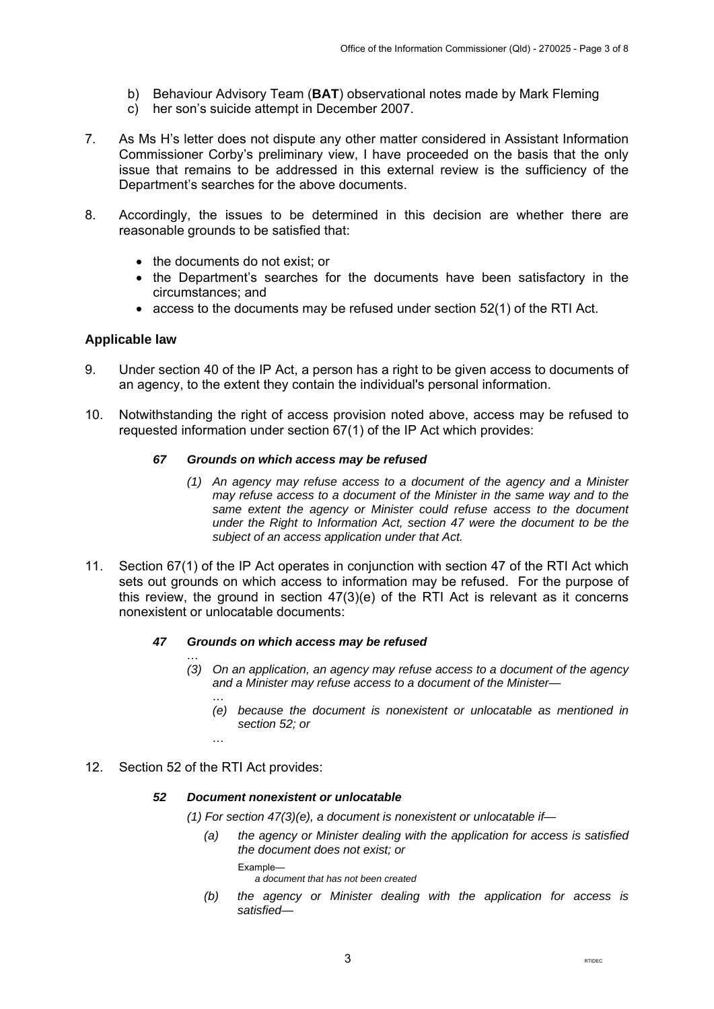- <span id="page-2-0"></span>b) Behaviour Advisory Team (**BAT**) observational notes made by Mark Fleming
- c) her son's suicide attempt in December 2007.
- 7. As Ms H's letter does not dispute any other matter considered in Assistant Information Commissioner Corby's preliminary view, I have proceeded on the basis that the only issue that remains to be addressed in this external review is the sufficiency of the Department's searches for the above documents.
- 8. Accordingly, the issues to be determined in this decision are whether there are reasonable grounds to be satisfied that:
	- the documents do not exist; or
	- the Department's searches for the documents have been satisfactory in the circumstances; and
	- access to the documents may be refused under section 52(1) of the RTI Act.

## **Applicable law**

- 9. Under section 40 of the IP Act, a person has a right to be given access to documents of an agency, to the extent they contain the individual's personal information.
- 10. Notwithstanding the right of access provision noted above, access may be refused to requested information under section 67(1) of the IP Act which provides:

#### *67 Grounds on which access may be refused*

- *(1) An agency may refuse access to a document of the agency and a Minister may refuse access to a document of the Minister in the same way and to the same extent the agency or Minister could refuse access to the document under the Right to Information Act, section 47 were the document to be the subject of an access application under that Act.*
- 11. Section 67(1) of the IP Act operates in conjunction with section 47 of the RTI Act which sets out grounds on which access to information may be refused. For the purpose of this review, the ground in section 47(3)(e) of the RTI Act is relevant as it concerns nonexistent or unlocatable documents:

#### *47 Grounds on which access may be refused*

- *… (3) On an application, an agency may refuse access to a document of the agency and a Minister may refuse access to a document of the Minister—* 
	- *… (e) because the document is nonexistent or unlocatable as mentioned in section 52; or*
	- *…*

#### 12. Section 52 of the RTI Act provides:

#### *52 Document nonexistent or unlocatable*

*(1) For section 47(3)(e), a document is nonexistent or unlocatable if—* 

*(a) the agency or Minister dealing with the application for access is satisfied the document does not exist; or* 

Example—

 *a document that has not been created* 

 *(b) the agency or Minister dealing with the application for access is satisfied—*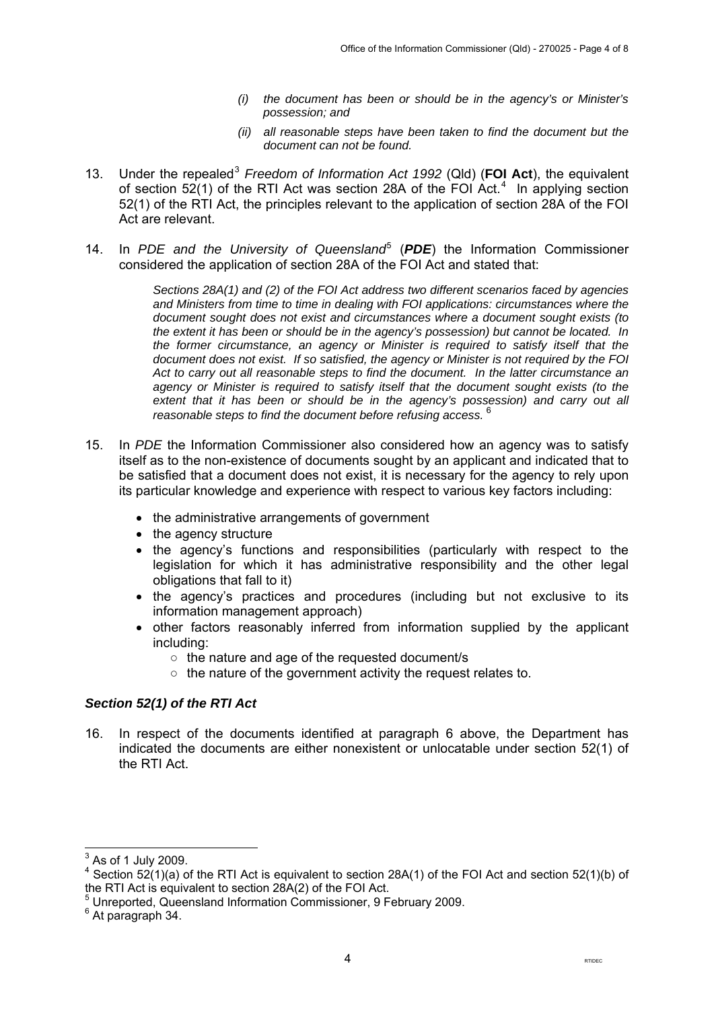- *(i) the document has been or should be in the agency's or Minister's possession; and*
- *(ii) all reasonable steps have been taken to find the document but the document can not be found.*
- <span id="page-3-0"></span>1[3](#page-3-1). Under the repealed<sup>3</sup> *Freedom of Information Act 1992* (Qld) (FOI Act), the equivalent of section  $52(1)$  of the RTI Act was section 28A of the FOI Act.<sup>[4](#page-3-2)</sup> In applying section 52(1) of the RTI Act, the principles relevant to the application of section 28A of the FOI Act are relevant.
- 14. In PDE and the University of Queensland<sup>[5](#page-3-3)</sup> (PDE) the Information Commissioner considered the application of section 28A of the FOI Act and stated that:

*Sections 28A(1) and (2) of the FOI Act address two different scenarios faced by agencies and Ministers from time to time in dealing with FOI applications: circumstances where the document sought does not exist and circumstances where a document sought exists (to the extent it has been or should be in the agency's possession) but cannot be located. In the former circumstance, an agency or Minister is required to satisfy itself that the document does not exist. If so satisfied, the agency or Minister is not required by the FOI Act to carry out all reasonable steps to find the document. In the latter circumstance an agency or Minister is required to satisfy itself that the document sought exists (to the extent that it has been or should be in the agency's possession) and carry out all reasonable steps to find the document before refusing access.* [6](#page-3-4)

- 15. In *PDE* the Information Commissioner also considered how an agency was to satisfy itself as to the non-existence of documents sought by an applicant and indicated that to be satisfied that a document does not exist, it is necessary for the agency to rely upon its particular knowledge and experience with respect to various key factors including:
	- the administrative arrangements of government
	- the agency structure
	- the agency's functions and responsibilities (particularly with respect to the legislation for which it has administrative responsibility and the other legal obligations that fall to it)
	- the agency's practices and procedures (including but not exclusive to its information management approach)
	- other factors reasonably inferred from information supplied by the applicant including:
		- the nature and age of the requested document/s
		- $\circ$  the nature of the government activity the request relates to.

# *Section 52(1) of the RTI Act*

16. In respect of the documents identified at paragraph [6](#page-1-3) above, the Department has indicated the documents are either nonexistent or unlocatable under section 52(1) of the RTI Act.

 $\frac{1}{3}$  As of 1 July 2009.

<span id="page-3-2"></span><span id="page-3-1"></span><sup>&</sup>lt;sup>4</sup> Section 52(1)(a) of the RTI Act is equivalent to section 28A(1) of the FOI Act and section 52(1)(b) of the RTI Act is equivalent to section 28A(2) of the FOI Act.

<span id="page-3-3"></span><sup>5</sup> Unreported, Queensland Information Commissioner, 9 February 2009.

<span id="page-3-4"></span><sup>&</sup>lt;sup>6</sup> At paragraph 34.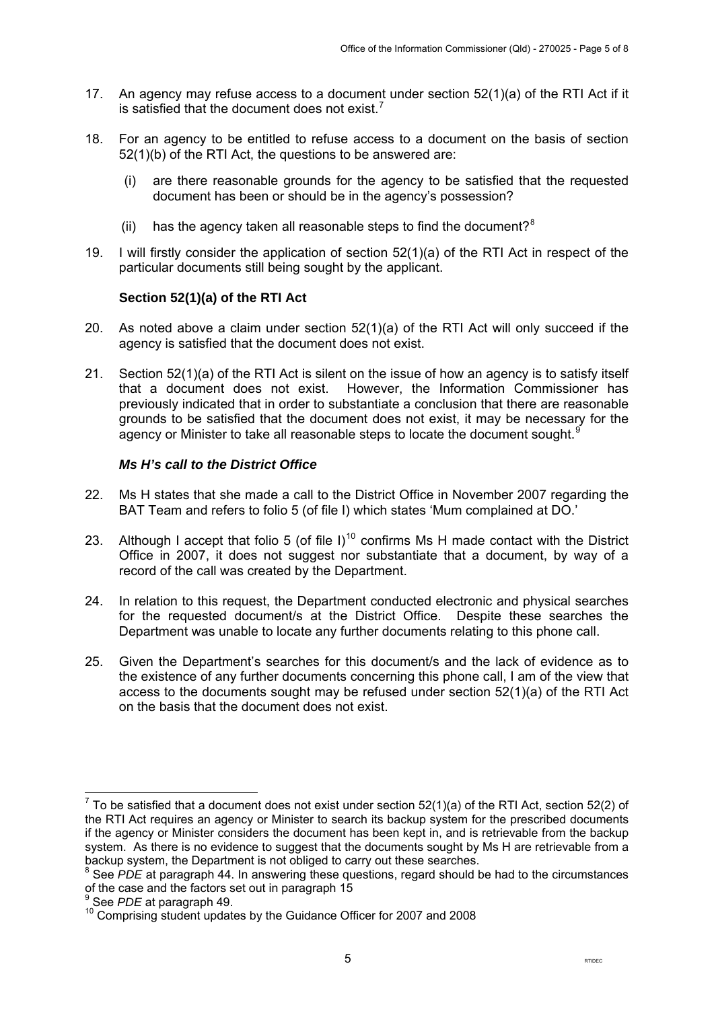- <span id="page-4-0"></span>17. An agency may refuse access to a document under section 52(1)(a) of the RTI Act if it is satisfied that the document does not exist.<sup>[7](#page-4-1)</sup>
- 18. For an agency to be entitled to refuse access to a document on the basis of section 52(1)(b) of the RTI Act, the questions to be answered are:
	- (i) are there reasonable grounds for the agency to be satisfied that the requested document has been or should be in the agency's possession?
	- (ii) has the agency taken all reasonable steps to find the document? $8$
- 19. I will firstly consider the application of section 52(1)(a) of the RTI Act in respect of the particular documents still being sought by the applicant.

# **Section 52(1)(a) of the RTI Act**

- 20. As noted above a claim under section 52(1)(a) of the RTI Act will only succeed if the agency is satisfied that the document does not exist.
- 21. Section 52(1)(a) of the RTI Act is silent on the issue of how an agency is to satisfy itself that a document does not exist. However, the Information Commissioner has previously indicated that in order to substantiate a conclusion that there are reasonable grounds to be satisfied that the document does not exist, it may be necessary for the agency or Minister to take all reasonable steps to locate the document sought.<sup>[9](#page-4-3)</sup>

## *Ms H's call to the District Office*

- 22. Ms H states that she made a call to the District Office in November 2007 regarding the BAT Team and refers to folio 5 (of file I) which states 'Mum complained at DO.'
- 23. Although I accept that folio 5 (of file I)<sup>[10](#page-4-4)</sup> confirms Ms H made contact with the District Office in 2007, it does not suggest nor substantiate that a document, by way of a record of the call was created by the Department.
- 24. In relation to this request, the Department conducted electronic and physical searches for the requested document/s at the District Office. Despite these searches the Department was unable to locate any further documents relating to this phone call.
- 25. Given the Department's searches for this document/s and the lack of evidence as to the existence of any further documents concerning this phone call, I am of the view that access to the documents sought may be refused under section 52(1)(a) of the RTI Act on the basis that the document does not exist.

<span id="page-4-1"></span><sup>-</sup><sup>7</sup> To be satisfied that a document does not exist under section 52(1)(a) of the RTI Act, section 52(2) of the RTI Act requires an agency or Minister to search its backup system for the prescribed documents if the agency or Minister considers the document has been kept in, and is retrievable from the backup system. As there is no evidence to suggest that the documents sought by Ms H are retrievable from a backup system, the Department is not obliged to carry out these searches.

<span id="page-4-2"></span><sup>&</sup>lt;sup>8</sup> See *PDE* at paragraph 44. In answering these questions, regard should be had to the circumstances of the case and the factors set out in paragraph 15

<sup>9</sup>

<span id="page-4-4"></span><span id="page-4-3"></span><sup>&</sup>lt;sup>9</sup> See *PDE* at paragraph 49.<br><sup>10</sup> Comprising student updates by the Guidance Officer for 2007 and 2008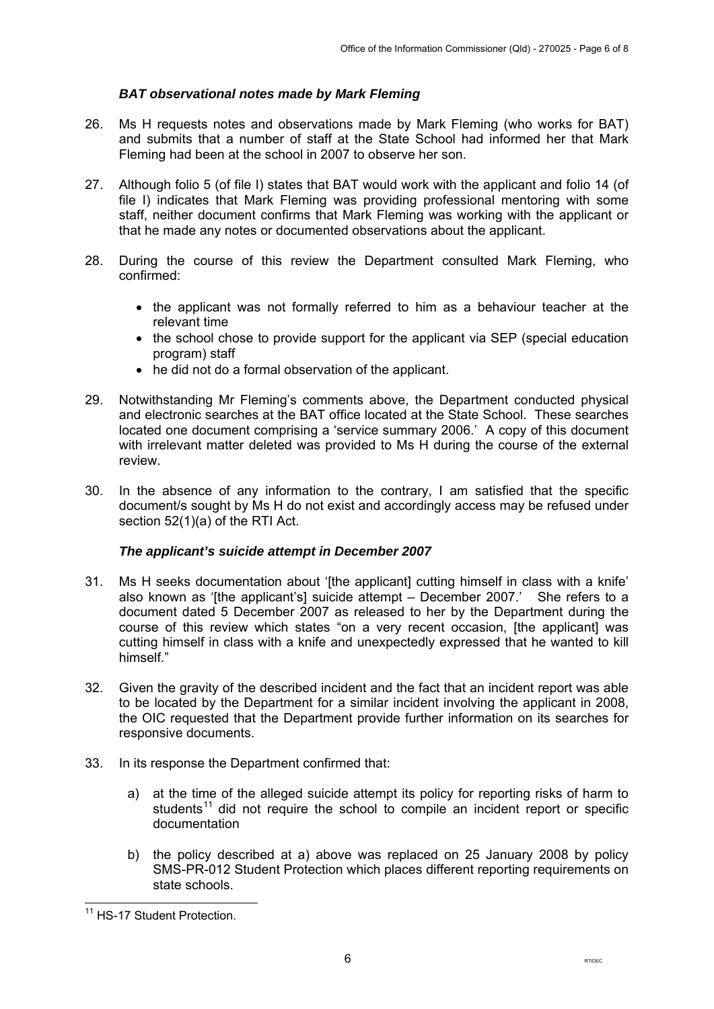# *BAT observational notes made by Mark Fleming*

- <span id="page-5-0"></span>26. Ms H requests notes and observations made by Mark Fleming (who works for BAT) and submits that a number of staff at the State School had informed her that Mark Fleming had been at the school in 2007 to observe her son.
- 27. Although folio 5 (of file I) states that BAT would work with the applicant and folio 14 (of file I) indicates that Mark Fleming was providing professional mentoring with some staff, neither document confirms that Mark Fleming was working with the applicant or that he made any notes or documented observations about the applicant.
- 28. During the course of this review the Department consulted Mark Fleming, who confirmed:
	- the applicant was not formally referred to him as a behaviour teacher at the relevant time
	- the school chose to provide support for the applicant via SEP (special education program) staff
	- he did not do a formal observation of the applicant.
- 29. Notwithstanding Mr Fleming's comments above, the Department conducted physical and electronic searches at the BAT office located at the State School. These searches located one document comprising a 'service summary 2006.' A copy of this document with irrelevant matter deleted was provided to Ms H during the course of the external review.
- 30. In the absence of any information to the contrary, I am satisfied that the specific document/s sought by Ms H do not exist and accordingly access may be refused under section 52(1)(a) of the RTI Act.

#### *The applicant's suicide attempt in December 2007*

- 31. Ms H seeks documentation about '[the applicant] cutting himself in class with a knife' also known as '[the applicant's] suicide attempt  $-$  December 2007.' She refers to a document dated 5 December 2007 as released to her by the Department during the course of this review which states "on a very recent occasion, [the applicant] was cutting himself in class with a knife and unexpectedly expressed that he wanted to kill himself."
- 32. Given the gravity of the described incident and the fact that an incident report was able to be located by the Department for a similar incident involving the applicant in 2008, the OIC requested that the Department provide further information on its searches for responsive documents.
- 33. In its response the Department confirmed that:
	- a) at the time of the alleged suicide attempt its policy for reporting risks of harm to students<sup>[11](#page-5-1)</sup> did not require the school to compile an incident report or specific documentation
	- b) the policy described at a) above was replaced on 25 January 2008 by policy SMS-PR-012 Student Protection which places different reporting requirements on state schools.

<span id="page-5-1"></span> $\overline{a}$ <sup>11</sup> HS-17 Student Protection.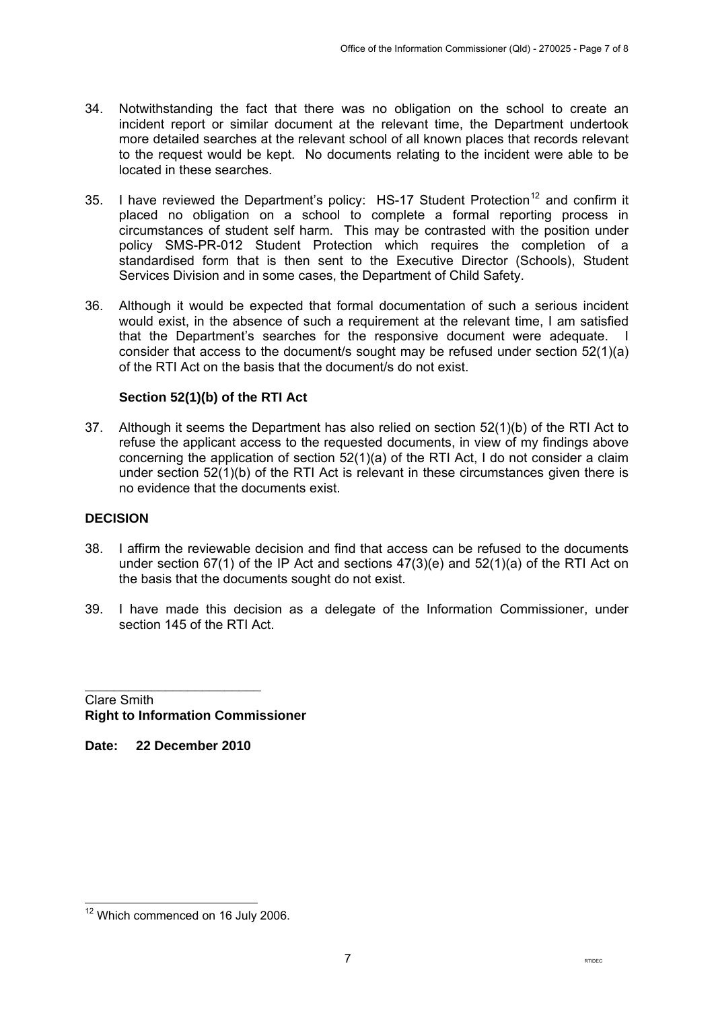- <span id="page-6-0"></span>34. Notwithstanding the fact that there was no obligation on the school to create an incident report or similar document at the relevant time, the Department undertook more detailed searches at the relevant school of all known places that records relevant to the request would be kept. No documents relating to the incident were able to be located in these searches.
- 35. I have reviewed the Department's policy:  $HS-17$  Student Protection<sup>[12](#page-6-1)</sup> and confirm it placed no obligation on a school to complete a formal reporting process in circumstances of student self harm. This may be contrasted with the position under policy SMS-PR-012 Student Protection which requires the completion of a standardised form that is then sent to the Executive Director (Schools), Student Services Division and in some cases, the Department of Child Safety.
- 36. Although it would be expected that formal documentation of such a serious incident would exist, in the absence of such a requirement at the relevant time, I am satisfied that the Department's searches for the responsive document were adequate. I consider that access to the document/s sought may be refused under section 52(1)(a) of the RTI Act on the basis that the document/s do not exist.

# **Section 52(1)(b) of the RTI Act**

37. Although it seems the Department has also relied on section 52(1)(b) of the RTI Act to refuse the applicant access to the requested documents, in view of my findings above concerning the application of section 52(1)(a) of the RTI Act, I do not consider a claim under section 52(1)(b) of the RTI Act is relevant in these circumstances given there is no evidence that the documents exist.

# **DECISION**

- 38. I affirm the reviewable decision and find that access can be refused to the documents under section 67(1) of the IP Act and sections  $47(3)(e)$  and  $52(1)(a)$  of the RTI Act on the basis that the documents sought do not exist.
- 39. I have made this decision as a delegate of the Information Commissioner, under section 145 of the RTI Act.

**\_\_\_\_\_\_\_\_\_\_\_\_\_\_\_\_\_\_\_\_\_\_\_\_**  Clare Smith **Right to Information Commissioner** 

**Date: 22 December 2010** 

<span id="page-6-1"></span> $\overline{a}$  $12$  Which commenced on 16 July 2006.